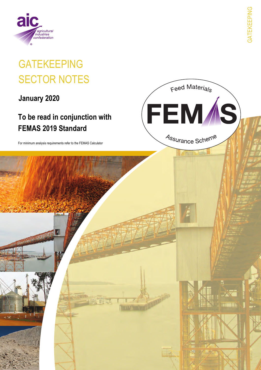

# **GATEKEEPING SECTOR NOTES**

January 2020

# To be read in conjunction with **FEMAS 2019 Standard**

For minimum analysis requirements refer to the FEMAS Calculator

Feed Materials

FEM /S

Assurance Scheme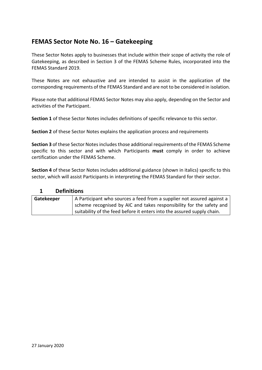### **FEMAS Sector Note No. 16 – Gatekeeping**

These Sector Notes apply to businesses that include within their scope of activity the role of Gatekeeping, as described in Section 3 of the FEMAS Scheme Rules, incorporated into the FEMAS Standard 2019.

These Notes are not exhaustive and are intended to assist in the application of the corresponding requirements of the FEMAS Standard and are not to be considered in isolation.

Please note that additional FEMAS Sector Notes may also apply, depending on the Sector and activities of the Participant.

**Section 1** of these Sector Notes includes definitions of specific relevance to this sector.

**Section 2** of these Sector Notes explains the application process and requirements

**Section 3** of these Sector Notes includes those additional requirements of the FEMAS Scheme specific to this sector and with which Participants **must** comply in order to achieve certification under the FEMAS Scheme.

**Section 4** of these Sector Notes includes additional guidance (shown in italics) specific to this sector, which will assist Participants in interpreting the FEMAS Standard for their sector.

#### **1 Definitions**

| Gatekeeper | A Participant who sources a feed from a supplier not assured against a  |  |
|------------|-------------------------------------------------------------------------|--|
|            | scheme recognised by AIC and takes responsibility for the safety and    |  |
|            | suitability of the feed before it enters into the assured supply chain. |  |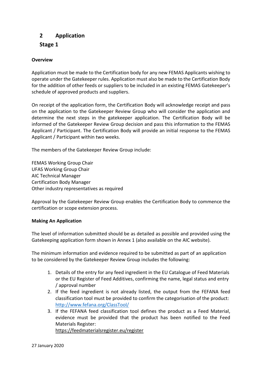### **2 Application**

#### **Stage 1**

#### **Overview**

Application must be made to the Certification body for any new FEMAS Applicants wishing to operate under the Gatekeeper rules. Application must also be made to the Certification Body for the addition of other feeds or suppliers to be included in an existing FEMAS Gatekeeper's schedule of approved products and suppliers.

On receipt of the application form, the Certification Body will acknowledge receipt and pass on the application to the Gatekeeper Review Group who will consider the application and determine the next steps in the gatekeeper application. The Certification Body will be informed of the Gatekeeper Review Group decision and pass this information to the FEMAS Applicant / Participant. The Certification Body will provide an initial response to the FEMAS Applicant / Participant within two weeks.

The members of the Gatekeeper Review Group include:

FEMAS Working Group Chair UFAS Working Group Chair AIC Technical Manager Certification Body Manager Other industry representatives as required

Approval by the Gatekeeper Review Group enables the Certification Body to commence the certification or scope extension process.

#### **Making An Application**

The level of information submitted should be as detailed as possible and provided using the Gatekeeping application form shown in Annex 1 (also available on the AIC website).

The minimum information and evidence required to be submitted as part of an application to be considered by the Gatekeeper Review Group includes the following:

- 1. Details of the entry for any feed ingredient in the EU Catalogue of Feed Materials or the EU Register of Feed Additives, confirming the name, legal status and entry / approval number
- 2. If the feed ingredient is not already listed, the output from the FEFANA feed classification tool must be provided to confirm the categorisation of the product: <http://www.fefana.org/ClassTool/>
- 3. If the FEFANA feed classification tool defines the product as a Feed Material, evidence must be provided that the product has been notified to the Feed Materials Register: <https://feedmaterialsregister.eu/register>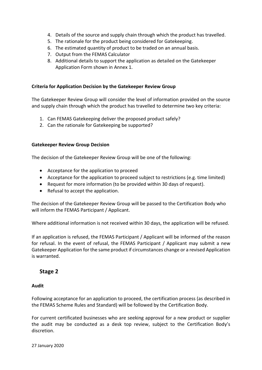- 4. Details of the source and supply chain through which the product has travelled.
- 5. The rationale for the product being considered for Gatekeeping.
- 6. The estimated quantity of product to be traded on an annual basis.
- 7. Output from the FEMAS Calculator
- 8. Additional details to support the application as detailed on the Gatekeeper Application Form shown in Annex 1.

#### **Criteria for Application Decision by the Gatekeeper Review Group**

The Gatekeeper Review Group will consider the level of information provided on the source and supply chain through which the product has travelled to determine two key criteria:

- 1. Can FEMAS Gatekeeping deliver the proposed product safely?
- 2. Can the rationale for Gatekeeping be supported?

#### **Gatekeeper Review Group Decision**

The decision of the Gatekeeper Review Group will be one of the following:

- Acceptance for the application to proceed
- Acceptance for the application to proceed subject to restrictions (e.g. time limited)
- Request for more information (to be provided within 30 days of request).
- Refusal to accept the application.

The decision of the Gatekeeper Review Group will be passed to the Certification Body who will inform the FEMAS Participant / Applicant.

Where additional information is not received within 30 days, the application will be refused.

If an application is refused, the FEMAS Participant / Applicant will be informed of the reason for refusal. In the event of refusal, the FEMAS Participant / Applicant may submit a new Gatekeeper Application for the same product if circumstances change or a revised Application is warranted.

#### **Stage 2**

#### **Audit**

Following acceptance for an application to proceed, the certification process (as described in the FEMAS Scheme Rules and Standard) will be followed by the Certification Body.

For current certificated businesses who are seeking approval for a new product or supplier the audit may be conducted as a desk top review, subject to the Certification Body's discretion.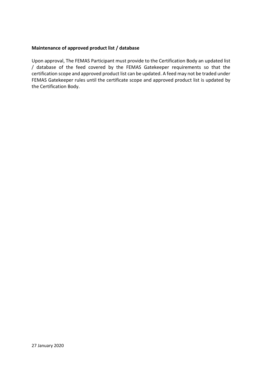#### **Maintenance of approved product list / database**

Upon approval, The FEMAS Participant must provide to the Certification Body an updated list / database of the feed covered by the FEMAS Gatekeeper requirements so that the certification scope and approved product list can be updated. A feed may not be traded under FEMAS Gatekeeper rules until the certificate scope and approved product list is updated by the Certification Body.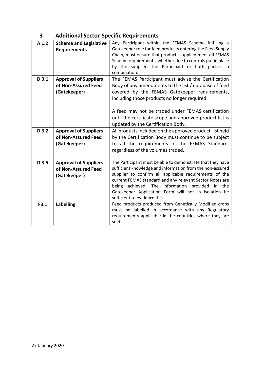| -3 | <b>Additional Sector-Specific Requirements</b> |
|----|------------------------------------------------|
|----|------------------------------------------------|

| A <sub>1.2</sub> | <b>Scheme and Legislative</b><br><b>Requirements</b>                | Any Participant within the FEMAS Scheme fulfilling a<br>Gatekeeper role for feed products entering the Feed Supply<br>Chain, must ensure that products supplied meet all FEMAS<br>Scheme requirements, whether due to controls put in place<br>by the supplier, the Participant or both parties in<br>combination.                                                                          |
|------------------|---------------------------------------------------------------------|---------------------------------------------------------------------------------------------------------------------------------------------------------------------------------------------------------------------------------------------------------------------------------------------------------------------------------------------------------------------------------------------|
| $D$ 3.1          | <b>Approval of Suppliers</b><br>of Non-Assured Feed<br>(Gatekeeper) | The FEMAS Participant must advise the Certification<br>Body of any amendments to the list / database of feed<br>covered by the FEMAS Gatekeeper requirements,<br>including those products no longer required.<br>A feed may not be traded under FEMAS certification<br>until the certificate scope and approved product list is<br>updated by the Certification Body.                       |
| D 3.2            | <b>Approval of Suppliers</b><br>of Non-Assured Feed<br>(Gatekeeper) | All products included on the approved product list held<br>by the Certification Body must continue to be subject<br>to all the requirements of the FEMAS Standard,<br>regardless of the volumes traded.                                                                                                                                                                                     |
| D 3.5            | <b>Approval of Suppliers</b><br>of Non-Assured Feed<br>(Gatekeeper) | The Participant must be able to demonstrate that they have<br>sufficient knowledge and information from the non-assured<br>supplier to confirm all applicable requirements of the<br>current FEMAS standard and any relevant Sector Notes are<br>being achieved. The information provided<br>in the<br>Gatekeeper Application Form will not in isolation be<br>sufficient to evidence this. |
| F3.1             | <b>Labelling</b>                                                    | Feed products produced from Genetically Modified crops<br>must be labelled in accordance with any Regulatory<br>requirements applicable in the countries where they are<br>sold.                                                                                                                                                                                                            |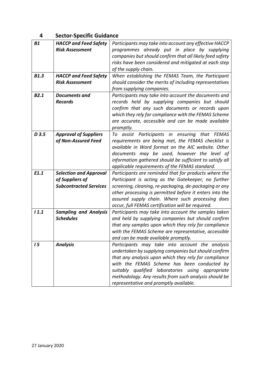## **4 Sector-Specific Guidance**

| <b>B1</b>   | <b>HACCP and Feed Safety</b>  | Participants may take into account any effective HACCP   |
|-------------|-------------------------------|----------------------------------------------------------|
|             | <b>Risk Assessment</b>        | programmes already put in place by supplying             |
|             |                               | companies but should confirm that all likely feed safety |
|             |                               | risks have been considered and mitigated at each step    |
|             |                               | of the supply chain.                                     |
| <b>B1.3</b> | <b>HACCP and Feed Safety</b>  | When establishing the FEMAS Team, the Participant        |
|             | <b>Risk Assessment</b>        | should consider the merits of including representatives  |
|             |                               | from supplying companies.                                |
| <b>B2.1</b> | Documents and                 | Participants may take into account the documents and     |
|             | <b>Records</b>                | records held by supplying companies but should           |
|             |                               | confirm that any such documents or records upon          |
|             |                               | which they rely for compliance with the FEMAS Scheme     |
|             |                               | are accurate, accessible and can be made available       |
|             |                               | promptly.                                                |
| D 3.5       | <b>Approval of Suppliers</b>  | To assist Participants in ensuring that FEMAS            |
|             | of Non-Assured Feed           | requirements are being met, the FEMAS checklist is       |
|             |                               | available in Word format on the AIC website. Other       |
|             |                               | documents may be used, however the level of              |
|             |                               | information gathered should be sufficient to satisfy all |
|             |                               | applicable requirements of the FEMAS standard.           |
| E1.1        | <b>Selection and Approval</b> | Participants are reminded that for products where the    |
|             | of Suppliers of               | Participant is acting as the Gatekeeper, no further      |
|             | <b>Subcontracted Services</b> | screening, cleaning, re-packaging, de-packaging or any   |
|             |                               | other processing is permitted before it enters into the  |
|             |                               | assured supply chain. Where such processing does         |
|             |                               | occur, full FEMAS certification will be required.        |
| 11.1        | <b>Sampling and Analysis</b>  | Participants may take into account the samples taken     |
|             | <b>Schedules</b>              | and held by supplying companies but should confirm       |
|             |                               | that any samples upon which they rely for compliance     |
|             |                               | with the FEMAS Scheme are representative, accessible     |
|             |                               | and can be made available promptly.                      |
| 15          | <b>Analysis</b>               | Participants may take into account the analysis          |
|             |                               | undertaken by supplying companies but should confirm     |
|             |                               | that any analysis upon which they rely for compliance    |
|             |                               | with the FEMAS Scheme has been conducted by              |
|             |                               | suitably qualified laboratories using appropriate        |
|             |                               | methodology. Any results from such analysis should be    |
|             |                               | representative and promptly available.                   |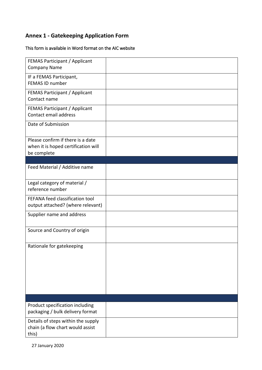# **Annex 1 - Gatekeeping Application Form**

#### This form is available in Word format on the AIC website

| <b>FEMAS Participant / Applicant</b><br><b>Company Name</b>                             |  |
|-----------------------------------------------------------------------------------------|--|
| IF a FEMAS Participant,<br>FEMAS ID number                                              |  |
| FEMAS Participant / Applicant<br>Contact name                                           |  |
| <b>FEMAS Participant / Applicant</b><br>Contact email address                           |  |
| Date of Submission                                                                      |  |
| Please confirm if there is a date<br>when it is hoped certification will<br>be complete |  |
|                                                                                         |  |
| Feed Material / Additive name                                                           |  |
| Legal category of material /<br>reference number                                        |  |
| FEFANA feed classification tool<br>output attached? (where relevant)                    |  |
| Supplier name and address                                                               |  |
| Source and Country of origin                                                            |  |
| Rationale for gatekeeping                                                               |  |
|                                                                                         |  |
| Product specification including<br>packaging / bulk delivery format                     |  |
| Details of steps within the supply<br>chain (a flow chart would assist<br>this)         |  |